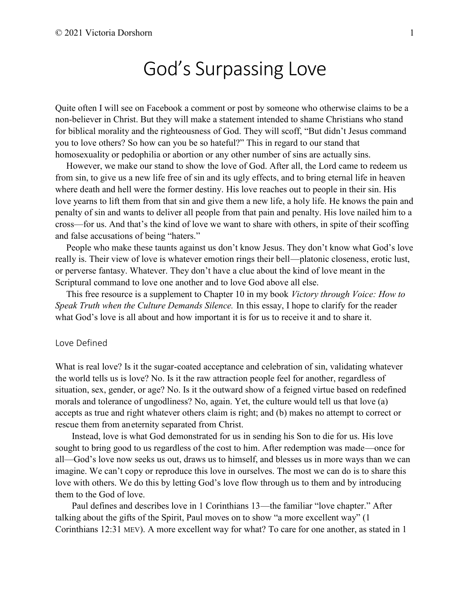# God's Surpassing Love

Quite often I will see on Facebook a comment or post by someone who otherwise claims to be a non-believer in Christ. But they will make a statement intended to shame Christians who stand for biblical morality and the righteousness of God. They will scoff, "But didn't Jesus command you to love others? So how can you be so hateful?" This in regard to our stand that homosexuality or pedophilia or abortion or any other number of sins are actually sins.

However, we make our stand to show the love of God. After all, the Lord came to redeem us from sin, to give us a new life free of sin and its ugly effects, and to bring eternal life in heaven where death and hell were the former destiny. His love reaches out to people in their sin. His love yearns to lift them from that sin and give them a new life, a holy life. He knows the pain and penalty of sin and wants to deliver all people from that pain and penalty. His love nailed him to a cross—for us. And that's the kind of love we want to share with others, in spite of their scoffing and false accusations of being "haters."

People who make these taunts against us don't know Jesus. They don't know what God's love really is. Their view of love is whatever emotion rings their bell—platonic closeness, erotic lust, or perverse fantasy. Whatever. They don't have a clue about the kind of love meant in the Scriptural command to love one another and to love God above all else.

This free resource is a supplement to Chapter 10 in my book *Victory through Voice: How to Speak Truth when the Culture Demands Silence.* In this essay, I hope to clarify for the reader what God's love is all about and how important it is for us to receive it and to share it.

#### Love Defined

What is real love? Is it the sugar-coated acceptance and celebration of sin, validating whatever the world tells us is love? No. Is it the raw attraction people feel for another, regardless of situation, sex, gender, or age? No. Is it the outward show of a feigned virtue based on redefined morals and tolerance of ungodliness? No, again. Yet, the culture would tell us that love (a) accepts as true and right whatever others claim is right; and (b) makes no attempt to correct or rescue them from aneternity separated from Christ.

Instead, love is what God demonstrated for us in sending his Son to die for us. His love sought to bring good to us regardless of the cost to him. After redemption was made—once for all—God's love now seeks us out, draws us to himself, and blesses us in more ways than we can imagine. We can't copy or reproduce this love in ourselves. The most we can do is to share this love with others. We do this by letting God's love flow through us to them and by introducing them to the God of love.

Paul defines and describes love in 1 Corinthians 13—the familiar "love chapter." After talking about the gifts of the Spirit, Paul moves on to show "a more excellent way" (1 Corinthians 12:31 MEV). A more excellent way for what? To care for one another, as stated in 1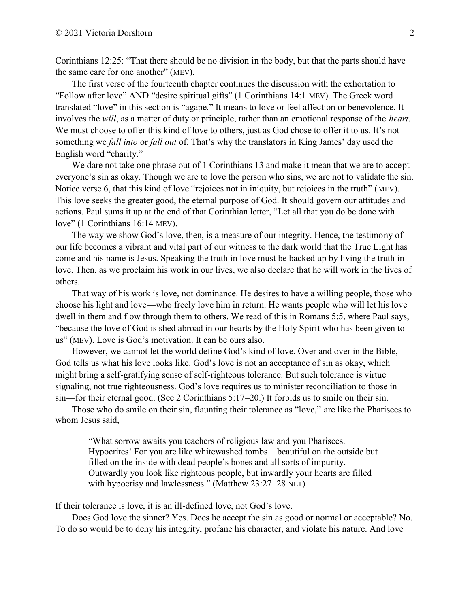Corinthians 12:25: "That there should be no division in the body, but that the parts should have the same care for one another" (MEV).

The first verse of the fourteenth chapter continues the discussion with the exhortation to "Follow after love" AND "desire spiritual gifts" (1 Corinthians 14:1 MEV). The Greek word translated "love" in this section is "agape." It means to love or feel affection or benevolence. It involves the *will*, as a matter of duty or principle, rather than an emotional response of the *heart*. We must choose to offer this kind of love to others, just as God chose to offer it to us. It's not something we *fall into* or *fall out* of. That's why the translators in King James' day used the English word "charity."

We dare not take one phrase out of 1 Corinthians 13 and make it mean that we are to accept everyone's sin as okay. Though we are to love the person who sins, we are not to validate the sin. Notice verse 6, that this kind of love "rejoices not in iniquity, but rejoices in the truth" (MEV). This love seeks the greater good, the eternal purpose of God. It should govern our attitudes and actions. Paul sums it up at the end of that Corinthian letter, "Let all that you do be done with love" (1 Corinthians 16:14 MEV).

The way we show God's love, then, is a measure of our integrity. Hence, the testimony of our life becomes a vibrant and vital part of our witness to the dark world that the True Light has come and his name is Jesus. Speaking the truth in love must be backed up by living the truth in love. Then, as we proclaim his work in our lives, we also declare that he will work in the lives of others.

That way of his work is love, not dominance. He desires to have a willing people, those who choose his light and love—who freely love him in return. He wants people who will let his love dwell in them and flow through them to others. We read of this in Romans 5:5, where Paul says, "because the love of God is shed abroad in our hearts by the Holy Spirit who has been given to us" (MEV). Love is God's motivation. It can be ours also.

However, we cannot let the world define God's kind of love. Over and over in the Bible, God tells us what his love looks like. God's love is not an acceptance of sin as okay, which might bring a self-gratifying sense of self-righteous tolerance. But such tolerance is virtue signaling, not true righteousness. God's love requires us to minister reconciliation to those in sin—for their eternal good. (See 2 Corinthians 5:17–20.) It forbids us to smile on their sin.

Those who do smile on their sin, flaunting their tolerance as "love," are like the Pharisees to whom Jesus said,

"What sorrow awaits you teachers of religious law and you Pharisees. Hypocrites! For you are like whitewashed tombs—beautiful on the outside but filled on the inside with dead people's bones and all sorts of impurity. Outwardly you look like righteous people, but inwardly your hearts are filled with hypocrisy and lawlessness." (Matthew 23:27–28 NLT)

If their tolerance is love, it is an ill-defined love, not God's love.

Does God love the sinner? Yes. Does he accept the sin as good or normal or acceptable? No. To do so would be to deny his integrity, profane his character, and violate his nature. And love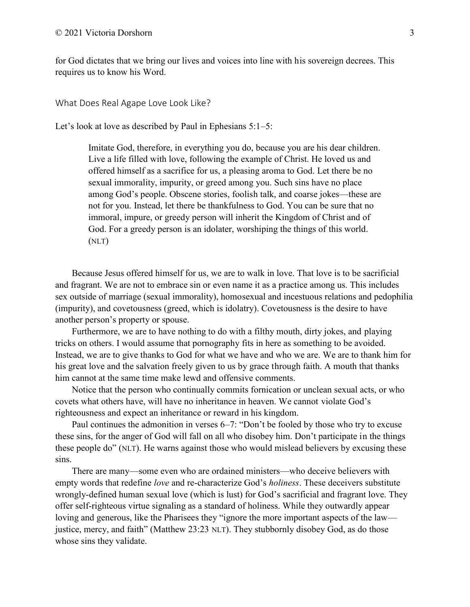for God dictates that we bring our lives and voices into line with his sovereign decrees. This requires us to know his Word.

What Does Real Agape Love Look Like?

Let's look at love as described by Paul in Ephesians 5:1–5:

Imitate God, therefore, in everything you do, because you are his dear children. Live a life filled with love, following the example of Christ. He loved us and offered himself as a sacrifice for us, a pleasing aroma to God. Let there be no sexual immorality, impurity, or greed among you. Such sins have no place among God's people. Obscene stories, foolish talk, and coarse jokes—these are not for you. Instead, let there be thankfulness to God. You can be sure that no immoral, impure, or greedy person will inherit the Kingdom of Christ and of God. For a greedy person is an idolater, worshiping the things of this world. (NLT)

Because Jesus offered himself for us, we are to walk in love. That love is to be sacrificial and fragrant. We are not to embrace sin or even name it as a practice among us. This includes sex outside of marriage (sexual immorality), homosexual and incestuous relations and pedophilia (impurity), and covetousness (greed, which is idolatry). Covetousness is the desire to have another person's property or spouse.

Furthermore, we are to have nothing to do with a filthy mouth, dirty jokes, and playing tricks on others. I would assume that pornography fits in here as something to be avoided. Instead, we are to give thanks to God for what we have and who we are. We are to thank him for his great love and the salvation freely given to us by grace through faith. A mouth that thanks him cannot at the same time make lewd and offensive comments.

Notice that the person who continually commits fornication or unclean sexual acts, or who covets what others have, will have no inheritance in heaven. We cannot violate God's righteousness and expect an inheritance or reward in his kingdom.

Paul continues the admonition in verses 6–7: "Don't be fooled by those who try to excuse these sins, for the anger of God will fall on all who disobey him. Don't participate in the things these people do" (NLT). He warns against those who would mislead believers by excusing these sins.

There are many—some even who are ordained ministers—who deceive believers with empty words that redefine *love* and re-characterize God's *holiness*. These deceivers substitute wrongly-defined human sexual love (which is lust) for God's sacrificial and fragrant love. They offer self-righteous virtue signaling as a standard of holiness. While they outwardly appear loving and generous, like the Pharisees they "ignore the more important aspects of the law justice, mercy, and faith" (Matthew 23:23 NLT). They stubbornly disobey God, as do those whose sins they validate.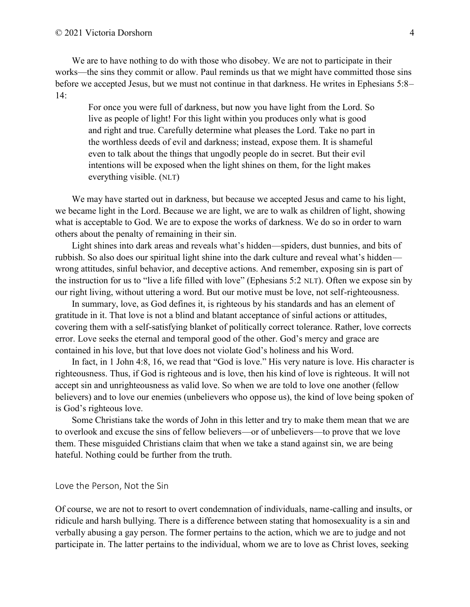We are to have nothing to do with those who disobey. We are not to participate in their works—the sins they commit or allow. Paul reminds us that we might have committed those sins before we accepted Jesus, but we must not continue in that darkness. He writes in Ephesians 5:8– 14:

For once you were full of darkness, but now you have light from the Lord. So live as people of light! For this light within you produces only what is good and right and true. Carefully determine what pleases the Lord. Take no part in the worthless deeds of evil and darkness; instead, expose them. It is shameful even to talk about the things that ungodly people do in secret. But their evil intentions will be exposed when the light shines on them, for the light makes everything visible. (NLT)

We may have started out in darkness, but because we accepted Jesus and came to his light, we became light in the Lord. Because we are light, we are to walk as children of light, showing what is acceptable to God. We are to expose the works of darkness. We do so in order to warn others about the penalty of remaining in their sin.

Light shines into dark areas and reveals what's hidden—spiders, dust bunnies, and bits of rubbish. So also does our spiritual light shine into the dark culture and reveal what's hidden wrong attitudes, sinful behavior, and deceptive actions. And remember, exposing sin is part of the instruction for us to "live a life filled with love" (Ephesians 5:2 NLT). Often we expose sin by our right living, without uttering a word. But our motive must be love, not self-righteousness.

In summary, love, as God defines it, is righteous by his standards and has an element of gratitude in it. That love is not a blind and blatant acceptance of sinful actions or attitudes, covering them with a self-satisfying blanket of politically correct tolerance. Rather, love corrects error. Love seeks the eternal and temporal good of the other. God's mercy and grace are contained in his love, but that love does not violate God's holiness and his Word.

In fact, in 1 John 4:8, 16, we read that "God is love." His very nature is love. His character is righteousness. Thus, if God is righteous and is love, then his kind of love is righteous. It will not accept sin and unrighteousness as valid love. So when we are told to love one another (fellow believers) and to love our enemies (unbelievers who oppose us), the kind of love being spoken of is God's righteous love.

Some Christians take the words of John in this letter and try to make them mean that we are to overlook and excuse the sins of fellow believers—or of unbelievers—to prove that we love them. These misguided Christians claim that when we take a stand against sin, we are being hateful. Nothing could be further from the truth.

#### Love the Person, Not the Sin

Of course, we are not to resort to overt condemnation of individuals, name-calling and insults, or ridicule and harsh bullying. There is a difference between stating that homosexuality is a sin and verbally abusing a gay person. The former pertains to the action, which we are to judge and not participate in. The latter pertains to the individual, whom we are to love as Christ loves, seeking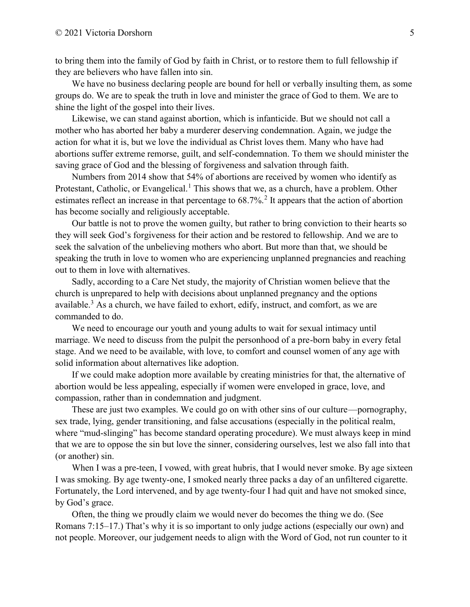to bring them into the family of God by faith in Christ, or to restore them to full fellowship if they are believers who have fallen into sin.

We have no business declaring people are bound for hell or verbally insulting them, as some groups do. We are to speak the truth in love and minister the grace of God to them. We are to shine the light of the gospel into their lives.

Likewise, we can stand against abortion, which is infanticide. But we should not call a mother who has aborted her baby a murderer deserving condemnation. Again, we judge the action for what it is, but we love the individual as Christ loves them. Many who have had abortions suffer extreme remorse, guilt, and self-condemnation. To them we should minister the saving grace of God and the blessing of forgiveness and salvation through faith.

Numbers from 2014 show that 54% of abortions are received by women who identify as Protestant, Catholic, or Evangelical.<sup>1</sup> This shows that we, as a church, have a problem. Other estimates reflect an increase in that percentage to 68.7%.<sup>2</sup> It appears that the action of abortion has become socially and religiously acceptable.

Our battle is not to prove the women guilty, but rather to bring conviction to their hearts so they will seek God's forgiveness for their action and be restored to fellowship. And we are to seek the salvation of the unbelieving mothers who abort. But more than that, we should be speaking the truth in love to women who are experiencing unplanned pregnancies and reaching out to them in love with alternatives.

Sadly, according to a Care Net study, the majority of Christian women believe that the church is unprepared to help with decisions about unplanned pregnancy and the options available.<sup>3</sup> As a church, we have failed to exhort, edify, instruct, and comfort, as we are commanded to do.

We need to encourage our youth and young adults to wait for sexual intimacy until marriage. We need to discuss from the pulpit the personhood of a pre-born baby in every fetal stage. And we need to be available, with love, to comfort and counsel women of any age with solid information about alternatives like adoption.

If we could make adoption more available by creating ministries for that, the alternative of abortion would be less appealing, especially if women were enveloped in grace, love, and compassion, rather than in condemnation and judgment.

These are just two examples. We could go on with other sins of our culture—pornography, sex trade, lying, gender transitioning, and false accusations (especially in the political realm, where "mud-slinging" has become standard operating procedure). We must always keep in mind that we are to oppose the sin but love the sinner, considering ourselves, lest we also fall into that (or another) sin.

When I was a pre-teen, I vowed, with great hubris, that I would never smoke. By age sixteen I was smoking. By age twenty-one, I smoked nearly three packs a day of an unfiltered cigarette. Fortunately, the Lord intervened, and by age twenty-four I had quit and have not smoked since, by God's grace.

Often, the thing we proudly claim we would never do becomes the thing we do. (See Romans 7:15–17.) That's why it is so important to only judge actions (especially our own) and not people. Moreover, our judgement needs to align with the Word of God, not run counter to it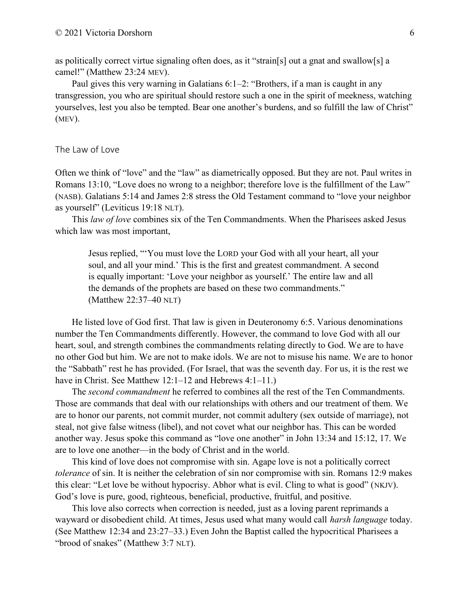as politically correct virtue signaling often does, as it "strain[s] out a gnat and swallow[s] a camel!" (Matthew 23:24 MEV).

Paul gives this very warning in Galatians 6:1–2: "Brothers, if a man is caught in any transgression, you who are spiritual should restore such a one in the spirit of meekness, watching yourselves, lest you also be tempted. Bear one another's burdens, and so fulfill the law of Christ" (MEV).

#### The Law of Love

Often we think of "love" and the "law" as diametrically opposed. But they are not. Paul writes in Romans 13:10, "Love does no wrong to a neighbor; therefore love is the fulfillment of the Law" (NASB). Galatians 5:14 and James 2:8 stress the Old Testament command to "love your neighbor as yourself" (Leviticus 19:18 NLT).

This *law of love* combines six of the Ten Commandments. When the Pharisees asked Jesus which law was most important,

Jesus replied, "'You must love the LORD your God with all your heart, all your soul, and all your mind.' This is the first and greatest commandment. A second is equally important: 'Love your neighbor as yourself.' The entire law and all the demands of the prophets are based on these two commandments." (Matthew 22:37–40 NLT)

He listed love of God first. That law is given in Deuteronomy 6:5. Various denominations number the Ten Commandments differently. However, the command to love God with all our heart, soul, and strength combines the commandments relating directly to God. We are to have no other God but him. We are not to make idols. We are not to misuse his name. We are to honor the "Sabbath" rest he has provided. (For Israel, that was the seventh day. For us, it is the rest we have in Christ. See Matthew 12:1–12 and Hebrews 4:1–11.)

The *second commandment* he referred to combines all the rest of the Ten Commandments. Those are commands that deal with our relationships with others and our treatment of them. We are to honor our parents, not commit murder, not commit adultery (sex outside of marriage), not steal, not give false witness (libel), and not covet what our neighbor has. This can be worded another way. Jesus spoke this command as "love one another" in John 13:34 and 15:12, 17. We are to love one another—in the body of Christ and in the world.

This kind of love does not compromise with sin. Agape love is not a politically correct *tolerance* of sin. It is neither the celebration of sin nor compromise with sin. Romans 12:9 makes this clear: "Let love be without hypocrisy. Abhor what is evil. Cling to what is good" (NKJV). God's love is pure, good, righteous, beneficial, productive, fruitful, and positive.

This love also corrects when correction is needed, just as a loving parent reprimands a wayward or disobedient child. At times, Jesus used what many would call *harsh language* today. (See Matthew 12:34 and 23:27–33.) Even John the Baptist called the hypocritical Pharisees a "brood of snakes" (Matthew 3:7 NLT).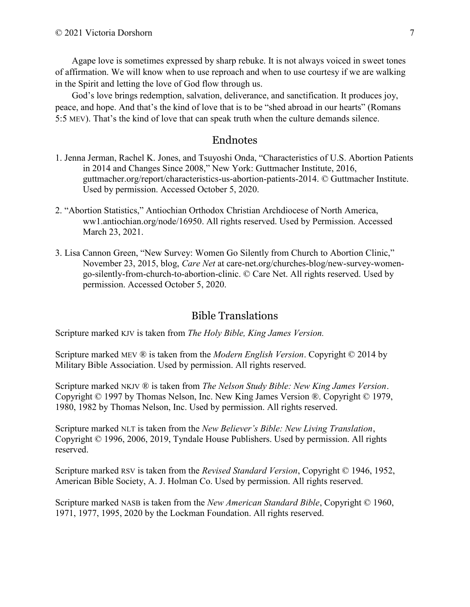Agape love is sometimes expressed by sharp rebuke. It is not always voiced in sweet tones of affirmation. We will know when to use reproach and when to use courtesy if we are walking in the Spirit and letting the love of God flow through us.

God's love brings redemption, salvation, deliverance, and sanctification. It produces joy, peace, and hope. And that's the kind of love that is to be "shed abroad in our hearts" (Romans 5:5 MEV). That's the kind of love that can speak truth when the culture demands silence.

### Endnotes

- 1. Jenna Jerman, Rachel K. Jones, and Tsuyoshi Onda, "Characteristics of U.S. Abortion Patients in 2014 and Changes Since 2008," New York: Guttmacher Institute, 2016, guttmacher.org/report/characteristics-us-abortion-patients-2014. © Guttmacher Institute. Used by permission. Accessed October 5, 2020.
- 2. "Abortion Statistics," Antiochian Orthodox Christian Archdiocese of North America, ww1.antiochian.org/node/16950. All rights reserved. Used by Permission. Accessed March 23, 2021.
- 3. Lisa Cannon Green, "New Survey: Women Go Silently from Church to Abortion Clinic," November 23, 2015, blog, *Care Net* at care-net.org/churches-blog/new-survey-women go-silently-from-church-to-abortion-clinic. © Care Net. All rights reserved. Used by permission. Accessed October 5, 2020.

# Bible Translations

Scripture marked KJV is taken from *The Holy Bible, King James Version.*

Scripture marked MEV ® is taken from the *Modern English Version*. Copyright © 2014 by Military Bible Association. Used by permission. All rights reserved.

Scripture marked NKJV ® is taken from *The Nelson Study Bible: New King James Version*. Copyright © 1997 by Thomas Nelson, Inc. New King James Version ®. Copyright © 1979, 1980, 1982 by Thomas Nelson, Inc. Used by permission. All rights reserved.

Scripture marked NLT is taken from the *New Believer's Bible: New Living Translation*, Copyright © 1996, 2006, 2019, Tyndale House Publishers. Used by permission. All rights reserved.

Scripture marked RSV is taken from the *Revised Standard Version*, Copyright © 1946, 1952, American Bible Society, A. J. Holman Co. Used by permission. All rights reserved.

Scripture marked NASB is taken from the *New American Standard Bible*, Copyright © 1960, 1971, 1977, 1995, 2020 by the Lockman Foundation. All rights reserved.